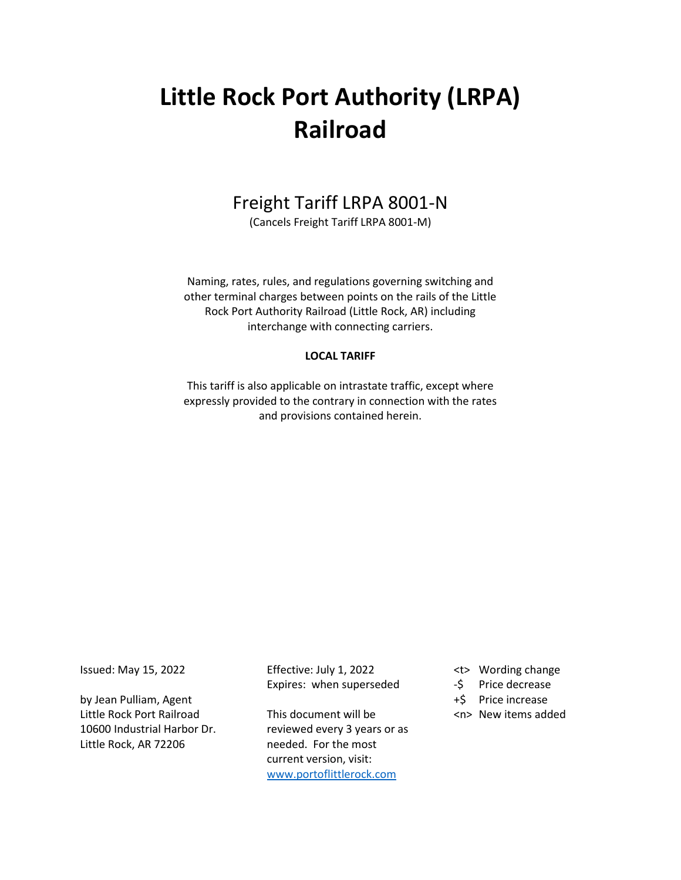# **Little Rock Port Authority (LRPA) Railroad**

# Freight Tariff LRPA 8001-N

(Cancels Freight Tariff LRPA 8001-M)

Naming, rates, rules, and regulations governing switching and other terminal charges between points on the rails of the Little Rock Port Authority Railroad (Little Rock, AR) including interchange with connecting carriers.

### **LOCAL TARIFF**

This tariff is also applicable on intrastate traffic, except where expressly provided to the contrary in connection with the rates and provisions contained herein.

Issued: May 15, 2022

by Jean Pulliam, Agent Little Rock Port Railroad 10600 Industrial Harbor Dr. Little Rock, AR 72206

Effective: July 1, 2022 Expires: when superseded

This document will be reviewed every 3 years or as needed. For the most current version, visit: [www.portoflittlerock.com](http://www.portoflittlerock.com/)

- <t> Wording change
- -\$ Price decrease
- +\$ Price increase
- <n> New items added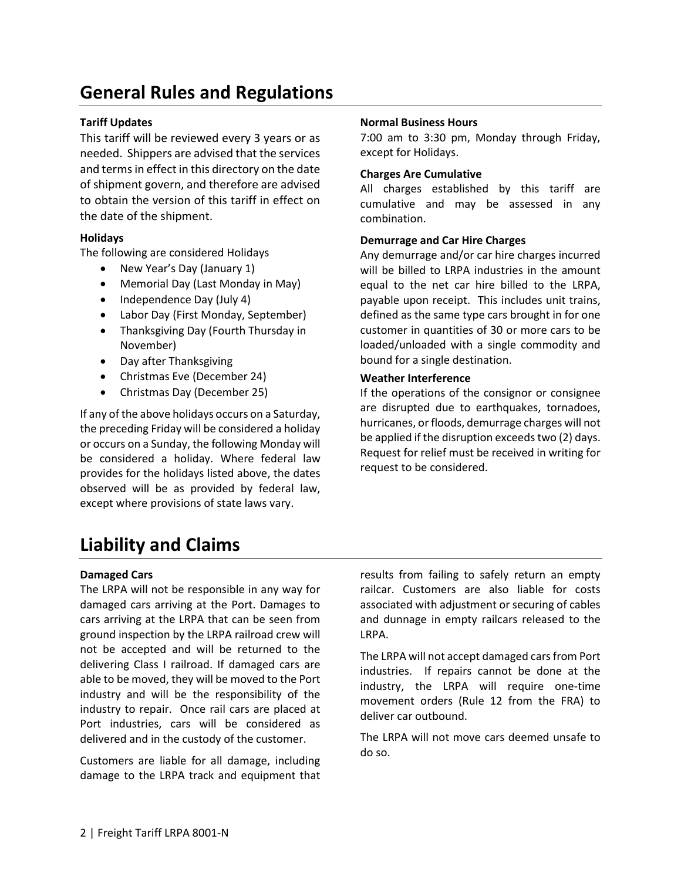# **General Rules and Regulations**

### **Tariff Updates**

This tariff will be reviewed every 3 years or as needed. Shippers are advised that the services and terms in effect in this directory on the date of shipment govern, and therefore are advised to obtain the version of this tariff in effect on the date of the shipment.

# **Holidays**

The following are considered Holidays

- New Year's Day (January 1)
- Memorial Day (Last Monday in May)
- Independence Day (July 4)
- Labor Day (First Monday, September)
- Thanksgiving Day (Fourth Thursday in November)
- Day after Thanksgiving
- Christmas Eve (December 24)
- Christmas Day (December 25)

If any of the above holidays occurs on a Saturday, the preceding Friday will be considered a holiday or occurs on a Sunday, the following Monday will be considered a holiday. Where federal law provides for the holidays listed above, the dates observed will be as provided by federal law, except where provisions of state laws vary.

#### **Normal Business Hours**

7:00 am to 3:30 pm, Monday through Friday, except for Holidays.

### **Charges Are Cumulative**

All charges established by this tariff are cumulative and may be assessed in any combination.

#### **Demurrage and Car Hire Charges**

Any demurrage and/or car hire charges incurred will be billed to LRPA industries in the amount equal to the net car hire billed to the LRPA, payable upon receipt. This includes unit trains, defined as the same type cars brought in for one customer in quantities of 30 or more cars to be loaded/unloaded with a single commodity and bound for a single destination.

#### **Weather Interference**

If the operations of the consignor or consignee are disrupted due to earthquakes, tornadoes, hurricanes, or floods, demurrage charges will not be applied if the disruption exceeds two (2) days. Request for relief must be received in writing for request to be considered.

# **Liability and Claims**

### **Damaged Cars**

The LRPA will not be responsible in any way for damaged cars arriving at the Port. Damages to cars arriving at the LRPA that can be seen from ground inspection by the LRPA railroad crew will not be accepted and will be returned to the delivering Class I railroad. If damaged cars are able to be moved, they will be moved to the Port industry and will be the responsibility of the industry to repair. Once rail cars are placed at Port industries, cars will be considered as delivered and in the custody of the customer.

Customers are liable for all damage, including damage to the LRPA track and equipment that

results from failing to safely return an empty railcar. Customers are also liable for costs associated with adjustment or securing of cables and dunnage in empty railcars released to the LRPA.

The LRPA will not accept damaged cars from Port industries. If repairs cannot be done at the industry, the LRPA will require one-time movement orders (Rule 12 from the FRA) to deliver car outbound.

The LRPA will not move cars deemed unsafe to do so.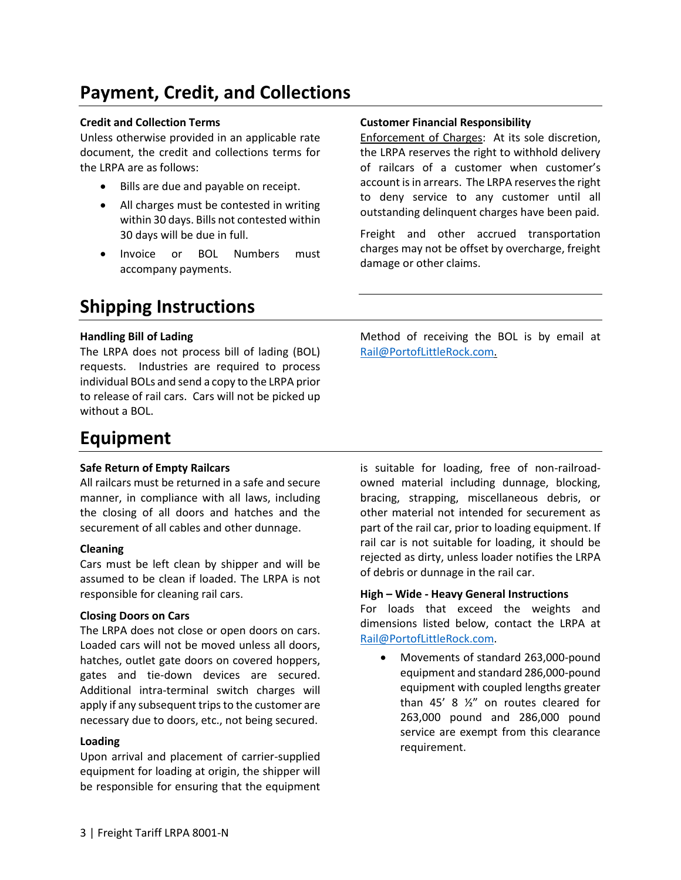# **Payment, Credit, and Collections**

### **Credit and Collection Terms**

Unless otherwise provided in an applicable rate document, the credit and collections terms for the LRPA are as follows:

- Bills are due and payable on receipt.
- All charges must be contested in writing within 30 days. Bills not contested within 30 days will be due in full.
- Invoice or BOL Numbers must accompany payments.

# **Customer Financial Responsibility**

Enforcement of Charges: At its sole discretion, the LRPA reserves the right to withhold delivery of railcars of a customer when customer's account is in arrears. The LRPA reserves the right to deny service to any customer until all outstanding delinquent charges have been paid.

Freight and other accrued transportation charges may not be offset by overcharge, freight damage or other claims.

# **Shipping Instructions**

# **Handling Bill of Lading**

The LRPA does not process bill of lading (BOL) requests. Industries are required to process individual BOLs and send a copy to the LRPA prior to release of rail cars. Cars will not be picked up without a BOL.

Method of receiving the BOL is by email at [Rail@PortofLittleRock.com.](mailto:Rail@PortofLittleRock.com)

# **Equipment**

### **Safe Return of Empty Railcars**

All railcars must be returned in a safe and secure manner, in compliance with all laws, including the closing of all doors and hatches and the securement of all cables and other dunnage.

### **Cleaning**

Cars must be left clean by shipper and will be assumed to be clean if loaded. The LRPA is not responsible for cleaning rail cars.

### **Closing Doors on Cars**

The LRPA does not close or open doors on cars. Loaded cars will not be moved unless all doors, hatches, outlet gate doors on covered hoppers, gates and tie-down devices are secured. Additional intra-terminal switch charges will apply if any subsequent trips to the customer are necessary due to doors, etc., not being secured.

### **Loading**

Upon arrival and placement of carrier-supplied equipment for loading at origin, the shipper will be responsible for ensuring that the equipment is suitable for loading, free of non-railroadowned material including dunnage, blocking, bracing, strapping, miscellaneous debris, or other material not intended for securement as part of the rail car, prior to loading equipment. If rail car is not suitable for loading, it should be rejected as dirty, unless loader notifies the LRPA of debris or dunnage in the rail car.

# **High – Wide - Heavy General Instructions**

For loads that exceed the weights and dimensions listed below, contact the LRPA at [Rail@PortofLittleRock.com.](mailto:Rail@PortofLittleRock.com)

• Movements of standard 263,000-pound equipment and standard 286,000-pound equipment with coupled lengths greater than 45' 8 ½" on routes cleared for 263,000 pound and 286,000 pound service are exempt from this clearance requirement.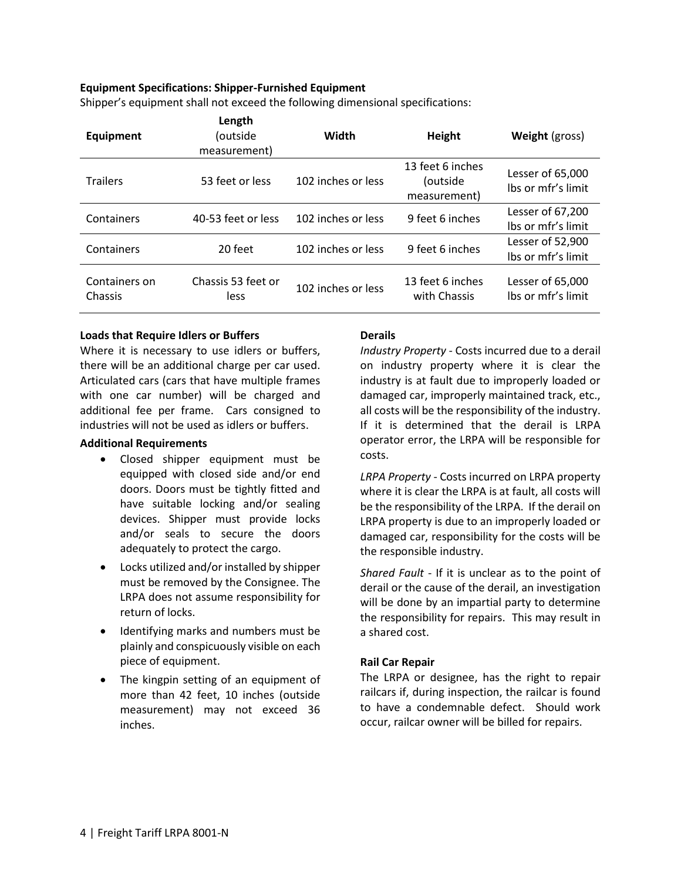#### **Equipment Specifications: Shipper-Furnished Equipment**

Shipper's equipment shall not exceed the following dimensional specifications:

| <b>Equipment</b>         | Length<br>(outside<br>measurement) | Width              | Height                                       | <b>Weight</b> (gross)                  |
|--------------------------|------------------------------------|--------------------|----------------------------------------------|----------------------------------------|
| <b>Trailers</b>          | 53 feet or less                    | 102 inches or less | 13 feet 6 inches<br>(outside<br>measurement) | Lesser of 65,000<br>lbs or mfr's limit |
| Containers               | 40-53 feet or less                 | 102 inches or less | 9 feet 6 inches                              | Lesser of 67,200<br>Ibs or mfr's limit |
| Containers               | 20 feet                            | 102 inches or less | 9 feet 6 inches                              | Lesser of 52,900<br>Ibs or mfr's limit |
| Containers on<br>Chassis | Chassis 53 feet or<br>less         | 102 inches or less | 13 feet 6 inches<br>with Chassis             | Lesser of 65,000<br>Ibs or mfr's limit |

#### **Loads that Require Idlers or Buffers**

Where it is necessary to use idlers or buffers, there will be an additional charge per car used. Articulated cars (cars that have multiple frames with one car number) will be charged and additional fee per frame. Cars consigned to industries will not be used as idlers or buffers.

#### **Additional Requirements**

- Closed shipper equipment must be equipped with closed side and/or end doors. Doors must be tightly fitted and have suitable locking and/or sealing devices. Shipper must provide locks and/or seals to secure the doors adequately to protect the cargo.
- Locks utilized and/or installed by shipper must be removed by the Consignee. The LRPA does not assume responsibility for return of locks.
- Identifying marks and numbers must be plainly and conspicuously visible on each piece of equipment.
- The kingpin setting of an equipment of more than 42 feet, 10 inches (outside measurement) may not exceed 36 inches.

# **Derails**

*Industry Property* - Costs incurred due to a derail on industry property where it is clear the industry is at fault due to improperly loaded or damaged car, improperly maintained track, etc., all costs will be the responsibility of the industry. If it is determined that the derail is LRPA operator error, the LRPA will be responsible for costs.

*LRPA Property* - Costs incurred on LRPA property where it is clear the LRPA is at fault, all costs will be the responsibility of the LRPA. If the derail on LRPA property is due to an improperly loaded or damaged car, responsibility for the costs will be the responsible industry.

*Shared Fault* - If it is unclear as to the point of derail or the cause of the derail, an investigation will be done by an impartial party to determine the responsibility for repairs. This may result in a shared cost.

### **Rail Car Repair**

The LRPA or designee, has the right to repair railcars if, during inspection, the railcar is found to have a condemnable defect. Should work occur, railcar owner will be billed for repairs.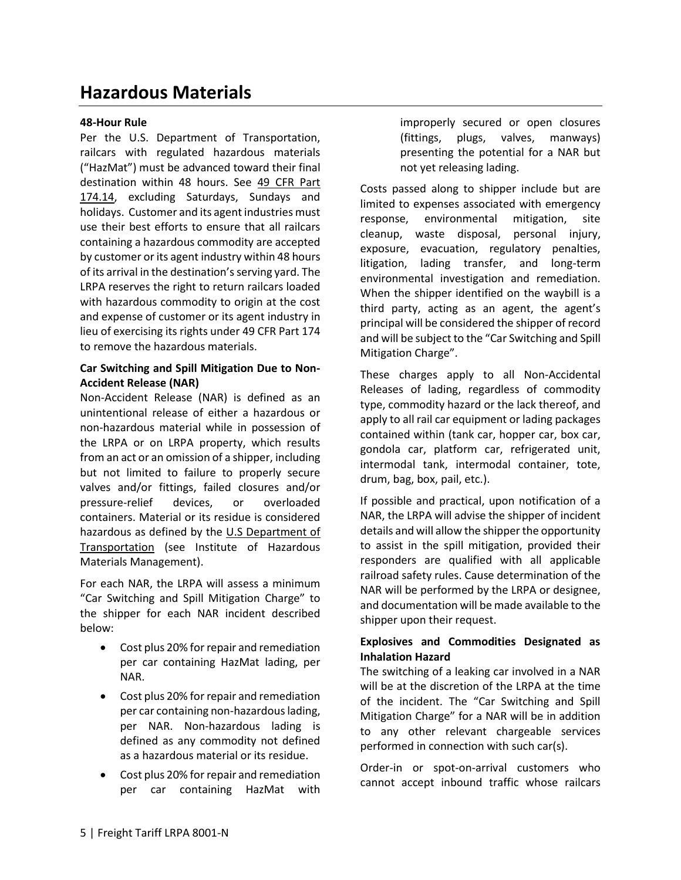# **Hazardous Materials**

#### **48-Hour Rule**

Per the U.S. Department of Transportation, railcars with regulated hazardous materials ("HazMat") must be advanced toward their final destination within 48 hours. See [49 CFR Part](https://www.gpo.gov/fdsys/pkg/CFR-2011-title49-vol2/pdf/CFR-2011-title49-vol2-part174-toc-id607.pdf)  [174.](https://www.gpo.gov/fdsys/pkg/CFR-2011-title49-vol2/pdf/CFR-2011-title49-vol2-part174-toc-id607.pdf)14, excluding Saturdays, Sundays and holidays. Customer and its agent industries must use their best efforts to ensure that all railcars containing a hazardous commodity are accepted by customer or its agent industry within 48 hours of its arrival in the destination's serving yard. The LRPA reserves the right to return railcars loaded with hazardous commodity to origin at the cost and expense of customer or its agent industry in lieu of exercising its rights under 49 CFR Part 174 to remove the hazardous materials.

#### **Car Switching and Spill Mitigation Due to Non-Accident Release (NAR)**

Non-Accident Release (NAR) is defined as an unintentional release of either a hazardous or non-hazardous material while in possession of the LRPA or on LRPA property, which results from an act or an omission of a shipper, including but not limited to failure to properly secure valves and/or fittings, failed closures and/or pressure-relief devices, or overloaded containers. Material or its residue is considered hazardous as defined by the [U.S Department of](https://www.ihmm.org/about-ihmm/what-are-hazardous-materials)  [Transportation](https://www.ihmm.org/about-ihmm/what-are-hazardous-materials) (see Institute of Hazardous Materials Management).

For each NAR, the LRPA will assess a minimum "Car Switching and Spill Mitigation Charge" to the shipper for each NAR incident described below:

- Cost plus 20% for repair and remediation per car containing HazMat lading, per NAR.
- Cost plus 20% for repair and remediation per car containing non-hazardous lading, per NAR. Non-hazardous lading is defined as any commodity not defined as a hazardous material or its residue.
- Cost plus 20% for repair and remediation per car containing HazMat with

improperly secured or open closures (fittings, plugs, valves, manways) presenting the potential for a NAR but not yet releasing lading.

Costs passed along to shipper include but are limited to expenses associated with emergency response, environmental mitigation, site cleanup, waste disposal, personal injury, exposure, evacuation, regulatory penalties, litigation, lading transfer, and long-term environmental investigation and remediation. When the shipper identified on the waybill is a third party, acting as an agent, the agent's principal will be considered the shipper of record and will be subject to the "Car Switching and Spill Mitigation Charge".

These charges apply to all Non-Accidental Releases of lading, regardless of commodity type, commodity hazard or the lack thereof, and apply to all rail car equipment or lading packages contained within (tank car, hopper car, box car, gondola car, platform car, refrigerated unit, intermodal tank, intermodal container, tote, drum, bag, box, pail, etc.).

If possible and practical, upon notification of a NAR, the LRPA will advise the shipper of incident details and will allow the shipper the opportunity to assist in the spill mitigation, provided their responders are qualified with all applicable railroad safety rules. Cause determination of the NAR will be performed by the LRPA or designee, and documentation will be made available to the shipper upon their request.

# **Explosives and Commodities Designated as Inhalation Hazard**

The switching of a leaking car involved in a NAR will be at the discretion of the LRPA at the time of the incident. The "Car Switching and Spill Mitigation Charge" for a NAR will be in addition to any other relevant chargeable services performed in connection with such car(s).

Order-in or spot-on-arrival customers who cannot accept inbound traffic whose railcars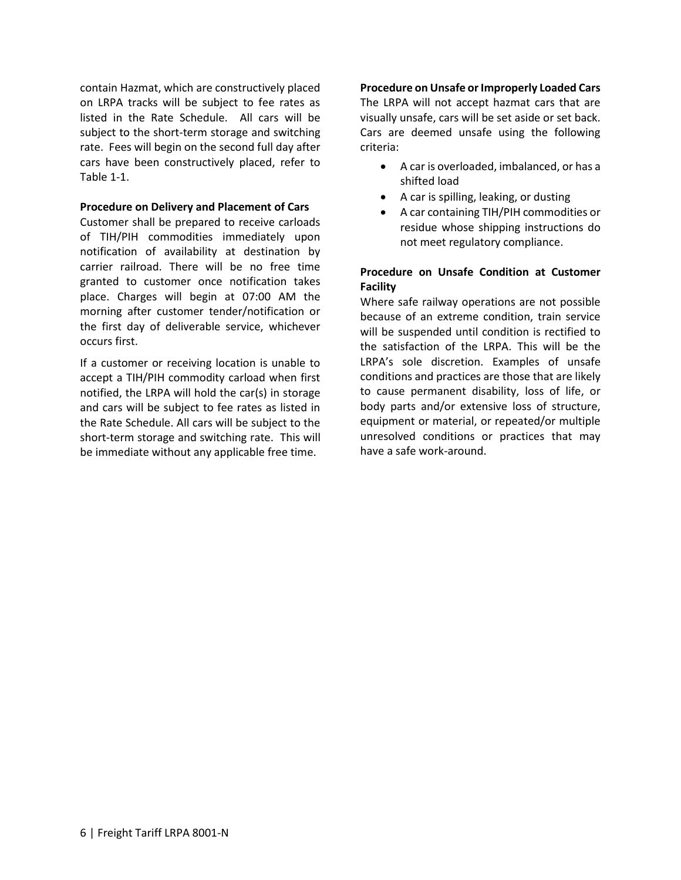contain Hazmat, which are constructively placed on LRPA tracks will be subject to fee rates as listed in the Rate Schedule. All cars will be subject to the short-term storage and switching rate. Fees will begin on the second full day after cars have been constructively placed, refer to Table 1-1.

#### **Procedure on Delivery and Placement of Cars**

Customer shall be prepared to receive carloads of TIH/PIH commodities immediately upon notification of availability at destination by carrier railroad. There will be no free time granted to customer once notification takes place. Charges will begin at 07:00 AM the morning after customer tender/notification or the first day of deliverable service, whichever occurs first.

If a customer or receiving location is unable to accept a TIH/PIH commodity carload when first notified, the LRPA will hold the car(s) in storage and cars will be subject to fee rates as listed in the Rate Schedule. All cars will be subject to the short-term storage and switching rate. This will be immediate without any applicable free time.

### **Procedure on Unsafe or Improperly Loaded Cars**

The LRPA will not accept hazmat cars that are visually unsafe, cars will be set aside or set back. Cars are deemed unsafe using the following criteria:

- A car is overloaded, imbalanced, or has a shifted load
- A car is spilling, leaking, or dusting
- A car containing TIH/PIH commodities or residue whose shipping instructions do not meet regulatory compliance.

# **Procedure on Unsafe Condition at Customer Facility**

Where safe railway operations are not possible because of an extreme condition, train service will be suspended until condition is rectified to the satisfaction of the LRPA. This will be the LRPA's sole discretion. Examples of unsafe conditions and practices are those that are likely to cause permanent disability, loss of life, or body parts and/or extensive loss of structure, equipment or material, or repeated/or multiple unresolved conditions or practices that may have a safe work-around.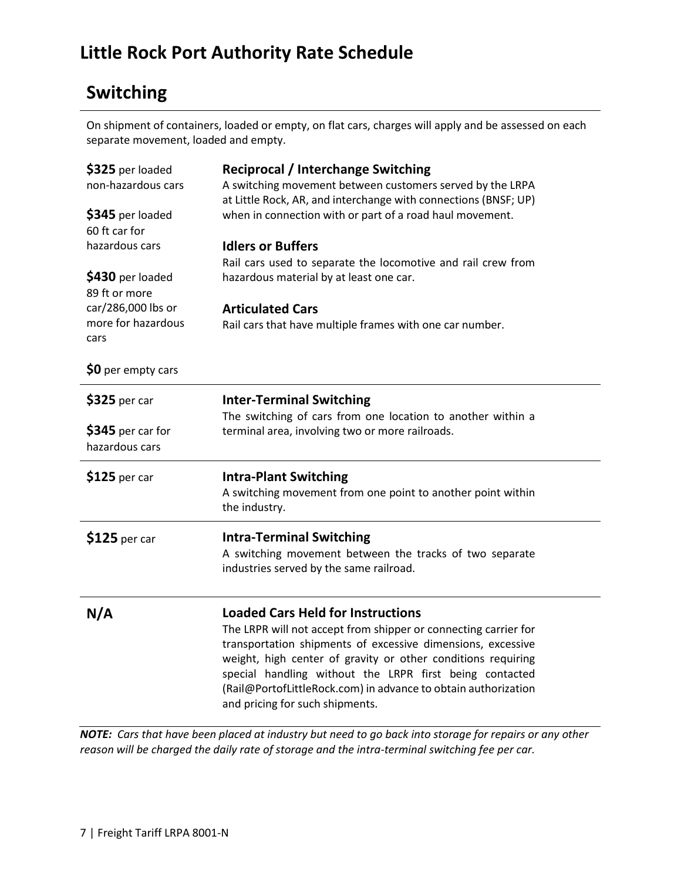# **Little Rock Port Authority Rate Schedule**

# **Switching**

On shipment of containers, loaded or empty, on flat cars, charges will apply and be assessed on each separate movement, loaded and empty.

| \$325 per loaded<br>non-hazardous cars<br>\$345 per loaded<br>60 ft car for<br>hazardous cars<br>\$430 per loaded<br>89 ft or more<br>car/286,000 lbs or | <b>Reciprocal / Interchange Switching</b><br>A switching movement between customers served by the LRPA<br>at Little Rock, AR, and interchange with connections (BNSF; UP)<br>when in connection with or part of a road haul movement.<br><b>Idlers or Buffers</b><br>Rail cars used to separate the locomotive and rail crew from<br>hazardous material by at least one car.<br><b>Articulated Cars</b> |
|----------------------------------------------------------------------------------------------------------------------------------------------------------|---------------------------------------------------------------------------------------------------------------------------------------------------------------------------------------------------------------------------------------------------------------------------------------------------------------------------------------------------------------------------------------------------------|
| more for hazardous<br>cars                                                                                                                               | Rail cars that have multiple frames with one car number.                                                                                                                                                                                                                                                                                                                                                |
| \$0 per empty cars                                                                                                                                       |                                                                                                                                                                                                                                                                                                                                                                                                         |
| \$325 per car                                                                                                                                            | <b>Inter-Terminal Switching</b><br>The switching of cars from one location to another within a                                                                                                                                                                                                                                                                                                          |
| \$345 per car for<br>hazardous cars                                                                                                                      | terminal area, involving two or more railroads.                                                                                                                                                                                                                                                                                                                                                         |
| $$125$ per car                                                                                                                                           | <b>Intra-Plant Switching</b><br>A switching movement from one point to another point within                                                                                                                                                                                                                                                                                                             |
|                                                                                                                                                          | the industry.                                                                                                                                                                                                                                                                                                                                                                                           |
| $$125$ per car                                                                                                                                           | <b>Intra-Terminal Switching</b><br>A switching movement between the tracks of two separate<br>industries served by the same railroad.                                                                                                                                                                                                                                                                   |

*NOTE: Cars that have been placed at industry but need to go back into storage for repairs or any other reason will be charged the daily rate of storage and the intra-terminal switching fee per car.*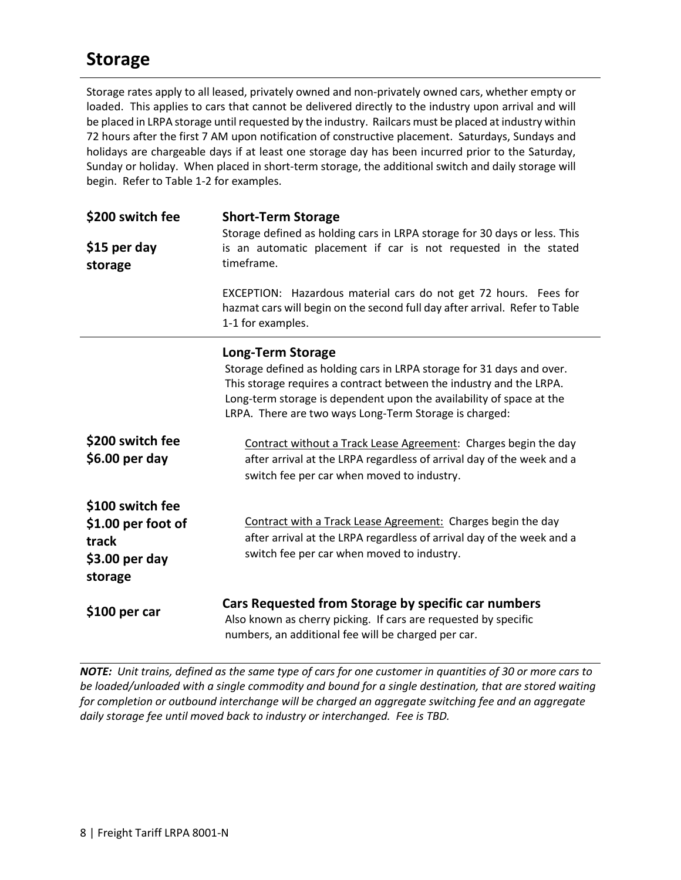# **Storage**

Storage rates apply to all leased, privately owned and non-privately owned cars, whether empty or loaded. This applies to cars that cannot be delivered directly to the industry upon arrival and will be placed in LRPA storage until requested by the industry. Railcars must be placed at industry within 72 hours after the first 7 AM upon notification of constructive placement. Saturdays, Sundays and holidays are chargeable days if at least one storage day has been incurred prior to the Saturday, Sunday or holiday. When placed in short-term storage, the additional switch and daily storage will begin. Refer to Table 1-2 for examples.

| \$200 switch fee<br>\$15 per day<br>storage                                   | <b>Short-Term Storage</b><br>Storage defined as holding cars in LRPA storage for 30 days or less. This<br>is an automatic placement if car is not requested in the stated<br>timeframe.                                                                                                                    |  |  |
|-------------------------------------------------------------------------------|------------------------------------------------------------------------------------------------------------------------------------------------------------------------------------------------------------------------------------------------------------------------------------------------------------|--|--|
|                                                                               | EXCEPTION: Hazardous material cars do not get 72 hours. Fees for<br>hazmat cars will begin on the second full day after arrival. Refer to Table<br>1-1 for examples.                                                                                                                                       |  |  |
| \$200 switch fee                                                              | <b>Long-Term Storage</b><br>Storage defined as holding cars in LRPA storage for 31 days and over.<br>This storage requires a contract between the industry and the LRPA.<br>Long-term storage is dependent upon the availability of space at the<br>LRPA. There are two ways Long-Term Storage is charged: |  |  |
| $$6.00$ per day                                                               | Contract without a Track Lease Agreement: Charges begin the day<br>after arrival at the LRPA regardless of arrival day of the week and a<br>switch fee per car when moved to industry.                                                                                                                     |  |  |
| \$100 switch fee<br>\$1.00 per foot of<br>track<br>$$3.00$ per day<br>storage | Contract with a Track Lease Agreement: Charges begin the day<br>after arrival at the LRPA regardless of arrival day of the week and a<br>switch fee per car when moved to industry.                                                                                                                        |  |  |
| \$100 per car                                                                 | Cars Requested from Storage by specific car numbers<br>Also known as cherry picking. If cars are requested by specific<br>numbers, an additional fee will be charged per car.                                                                                                                              |  |  |

*NOTE: Unit trains, defined as the same type of cars for one customer in quantities of 30 or more cars to be loaded/unloaded with a single commodity and bound for a single destination, that are stored waiting for completion or outbound interchange will be charged an aggregate switching fee and an aggregate daily storage fee until moved back to industry or interchanged. Fee is TBD.*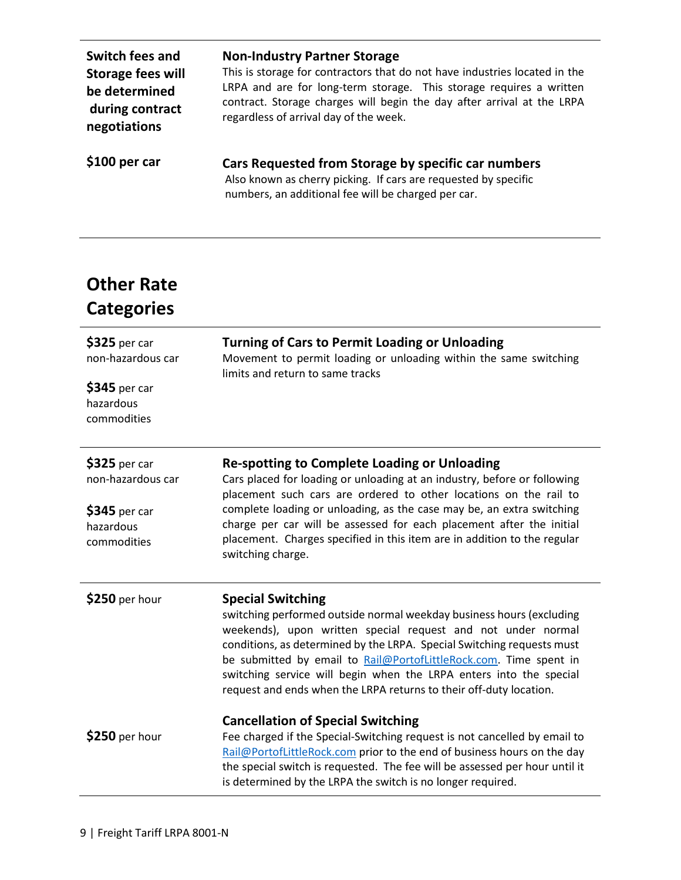| <b>Switch fees and</b>   | <b>Non-Industry Partner Storage</b>                                                                                                                                           |
|--------------------------|-------------------------------------------------------------------------------------------------------------------------------------------------------------------------------|
| <b>Storage fees will</b> | This is storage for contractors that do not have industries located in the                                                                                                    |
| be determined            | LRPA and are for long-term storage. This storage requires a written                                                                                                           |
| during contract          | contract. Storage charges will begin the day after arrival at the LRPA                                                                                                        |
| negotiations             | regardless of arrival day of the week.                                                                                                                                        |
| \$100 per car            | Cars Requested from Storage by specific car numbers<br>Also known as cherry picking. If cars are requested by specific<br>numbers, an additional fee will be charged per car. |

# **Other Rate Categories**

| \$325 per car<br>non-hazardous car        | <b>Turning of Cars to Permit Loading or Unloading</b><br>Movement to permit loading or unloading within the same switching<br>limits and return to same tracks |  |  |
|-------------------------------------------|----------------------------------------------------------------------------------------------------------------------------------------------------------------|--|--|
| \$345 per car<br>hazardous<br>commodities |                                                                                                                                                                |  |  |
| \$325 per car                             | <b>Re-spotting to Complete Loading or Unloading</b>                                                                                                            |  |  |
| non-hazardous car                         | Cars placed for loading or unloading at an industry, before or following<br>placement such cars are ordered to other locations on the rail to                  |  |  |
| \$345 per car                             | complete loading or unloading, as the case may be, an extra switching                                                                                          |  |  |
| hazardous                                 | charge per car will be assessed for each placement after the initial<br>placement. Charges specified in this item are in addition to the regular               |  |  |
| commodities                               | switching charge.                                                                                                                                              |  |  |
| \$250 per hour                            | <b>Special Switching</b>                                                                                                                                       |  |  |
|                                           | switching performed outside normal weekday business hours (excluding<br>weekends), upon written special request and not under normal                           |  |  |
|                                           | conditions, as determined by the LRPA. Special Switching requests must                                                                                         |  |  |
|                                           | be submitted by email to Rail@PortofLittleRock.com. Time spent in                                                                                              |  |  |
|                                           | switching service will begin when the LRPA enters into the special<br>request and ends when the LRPA returns to their off-duty location.                       |  |  |
|                                           | <b>Cancellation of Special Switching</b>                                                                                                                       |  |  |
| \$250 per hour                            | Fee charged if the Special-Switching request is not cancelled by email to                                                                                      |  |  |
|                                           | Rail@PortofLittleRock.com prior to the end of business hours on the day<br>the special switch is requested. The fee will be assessed per hour until it         |  |  |
|                                           | is determined by the LRPA the switch is no longer required.                                                                                                    |  |  |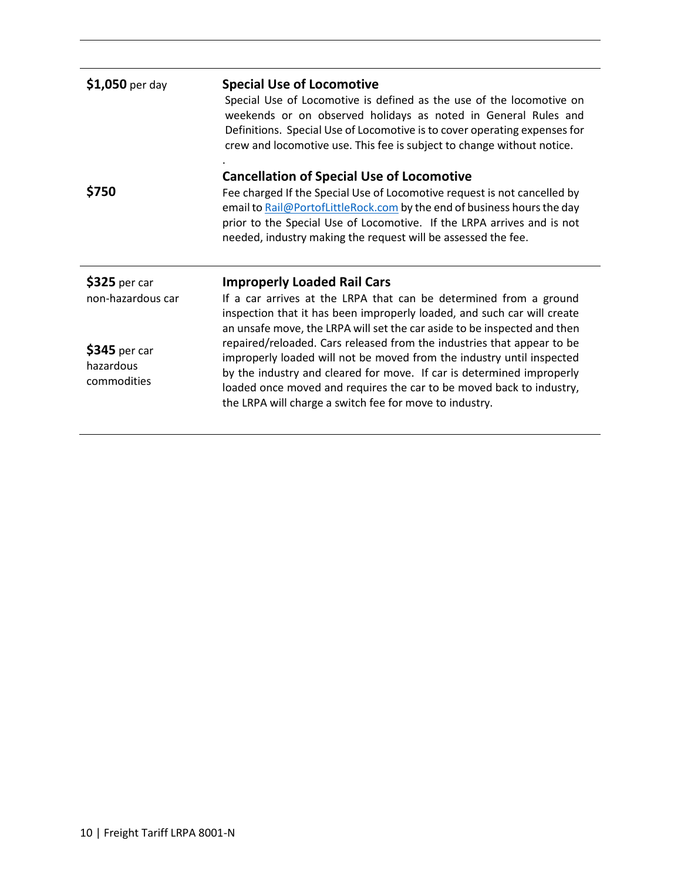| $$1,050$ per day                          | <b>Special Use of Locomotive</b>                                                                                                                                                                                                                                                                                                                            |
|-------------------------------------------|-------------------------------------------------------------------------------------------------------------------------------------------------------------------------------------------------------------------------------------------------------------------------------------------------------------------------------------------------------------|
|                                           | Special Use of Locomotive is defined as the use of the locomotive on<br>weekends or on observed holidays as noted in General Rules and<br>Definitions. Special Use of Locomotive is to cover operating expenses for<br>crew and locomotive use. This fee is subject to change without notice.                                                               |
|                                           | <b>Cancellation of Special Use of Locomotive</b>                                                                                                                                                                                                                                                                                                            |
| \$750                                     | Fee charged If the Special Use of Locomotive request is not cancelled by<br>email to Rail@PortofLittleRock.com by the end of business hours the day<br>prior to the Special Use of Locomotive. If the LRPA arrives and is not<br>needed, industry making the request will be assessed the fee.                                                              |
| \$325 per car                             | <b>Improperly Loaded Rail Cars</b>                                                                                                                                                                                                                                                                                                                          |
| non-hazardous car                         | If a car arrives at the LRPA that can be determined from a ground<br>inspection that it has been improperly loaded, and such car will create<br>an unsafe move, the LRPA will set the car aside to be inspected and then                                                                                                                                    |
| \$345 per car<br>hazardous<br>commodities | repaired/reloaded. Cars released from the industries that appear to be<br>improperly loaded will not be moved from the industry until inspected<br>by the industry and cleared for move. If car is determined improperly<br>loaded once moved and requires the car to be moved back to industry,<br>the LRPA will charge a switch fee for move to industry. |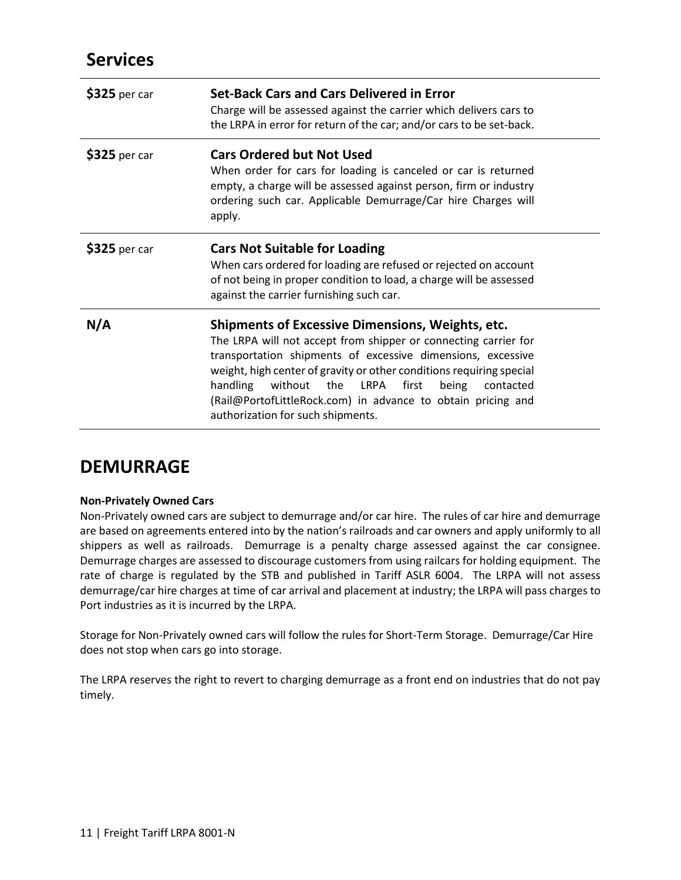# **Services**

| \$325 per car | <b>Set-Back Cars and Cars Delivered in Error</b><br>Charge will be assessed against the carrier which delivers cars to<br>the LRPA in error for return of the car; and/or cars to be set-back.                                                                                                                                                                                                                                        |
|---------------|---------------------------------------------------------------------------------------------------------------------------------------------------------------------------------------------------------------------------------------------------------------------------------------------------------------------------------------------------------------------------------------------------------------------------------------|
| \$325 per car | <b>Cars Ordered but Not Used</b><br>When order for cars for loading is canceled or car is returned<br>empty, a charge will be assessed against person, firm or industry<br>ordering such car. Applicable Demurrage/Car hire Charges will<br>apply.                                                                                                                                                                                    |
| \$325 per car | <b>Cars Not Suitable for Loading</b><br>When cars ordered for loading are refused or rejected on account<br>of not being in proper condition to load, a charge will be assessed<br>against the carrier furnishing such car.                                                                                                                                                                                                           |
| N/A           | <b>Shipments of Excessive Dimensions, Weights, etc.</b><br>The LRPA will not accept from shipper or connecting carrier for<br>transportation shipments of excessive dimensions, excessive<br>weight, high center of gravity or other conditions requiring special<br>handling<br>without the LRPA<br>first<br>being<br>contacted<br>(Rail@PortofLittleRock.com) in advance to obtain pricing and<br>authorization for such shipments. |

# **DEMURRAGE**

### **Non-Privately Owned Cars**

Non-Privately owned cars are subject to demurrage and/or car hire. The rules of car hire and demurrage are based on agreements entered into by the nation's railroads and car owners and apply uniformly to all shippers as well as railroads. Demurrage is a penalty charge assessed against the car consignee. Demurrage charges are assessed to discourage customers from using railcars for holding equipment. The rate of charge is regulated by the STB and published in Tariff ASLR 6004. The LRPA will not assess demurrage/car hire charges at time of car arrival and placement at industry; the LRPA will pass charges to Port industries as it is incurred by the LRPA.

Storage for Non-Privately owned cars will follow the rules for Short-Term Storage. Demurrage/Car Hire does not stop when cars go into storage.

The LRPA reserves the right to revert to charging demurrage as a front end on industries that do not pay timely.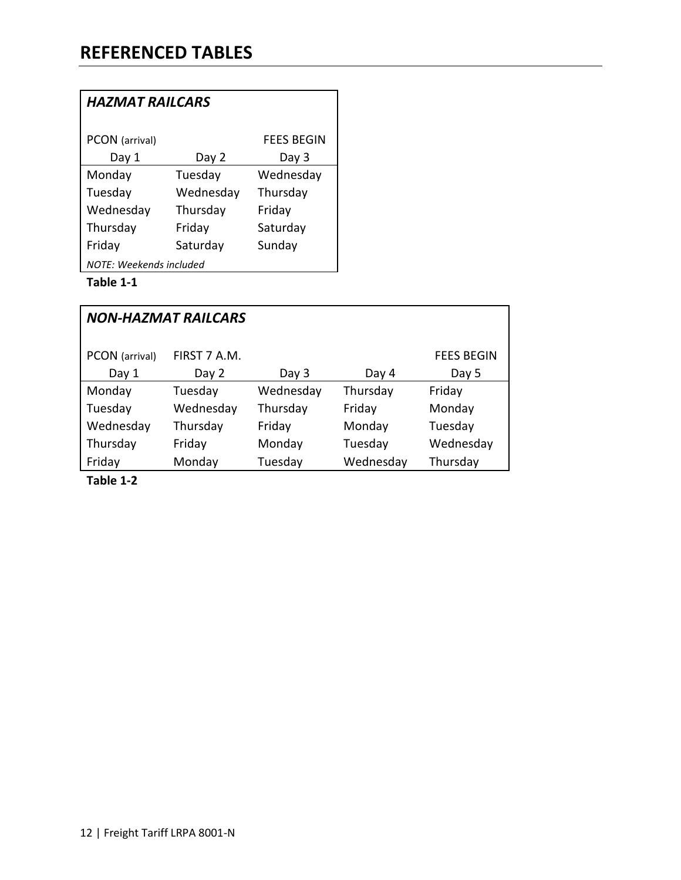| <b>HAZMAT RAILCARS</b>  |           |                   |  |
|-------------------------|-----------|-------------------|--|
| PCON (arrival)          |           | <b>FEES BEGIN</b> |  |
| Day 1                   | Day 2     | Day 3             |  |
| Monday                  | Tuesday   | Wednesday         |  |
| Tuesday                 | Wednesday | Thursday          |  |
| Wednesday               | Thursday  | Friday            |  |
| Thursday                | Friday    | Saturday          |  |
| Friday                  | Saturday  | Sunday            |  |
| NOTF: Weekends included |           |                   |  |

# **Table 1-1**

| <b>NON-HAZMAT RAILCARS</b> |              |           |           |                   |
|----------------------------|--------------|-----------|-----------|-------------------|
| PCON (arrival)             | FIRST 7 A.M. |           |           | <b>FEES BEGIN</b> |
| Day 1                      | Day 2        | Day 3     | Day 4     | Day 5             |
| Monday                     | Tuesday      | Wednesday | Thursday  | Friday            |
| Tuesday                    | Wednesday    | Thursday  | Friday    | Monday            |
| Wednesday                  | Thursday     | Friday    | Monday    | Tuesday           |
| Thursday                   | Friday       | Monday    | Tuesday   | Wednesday         |
| Friday                     | Monday       | Tuesday   | Wednesday | Thursday          |

**Table 1-2**